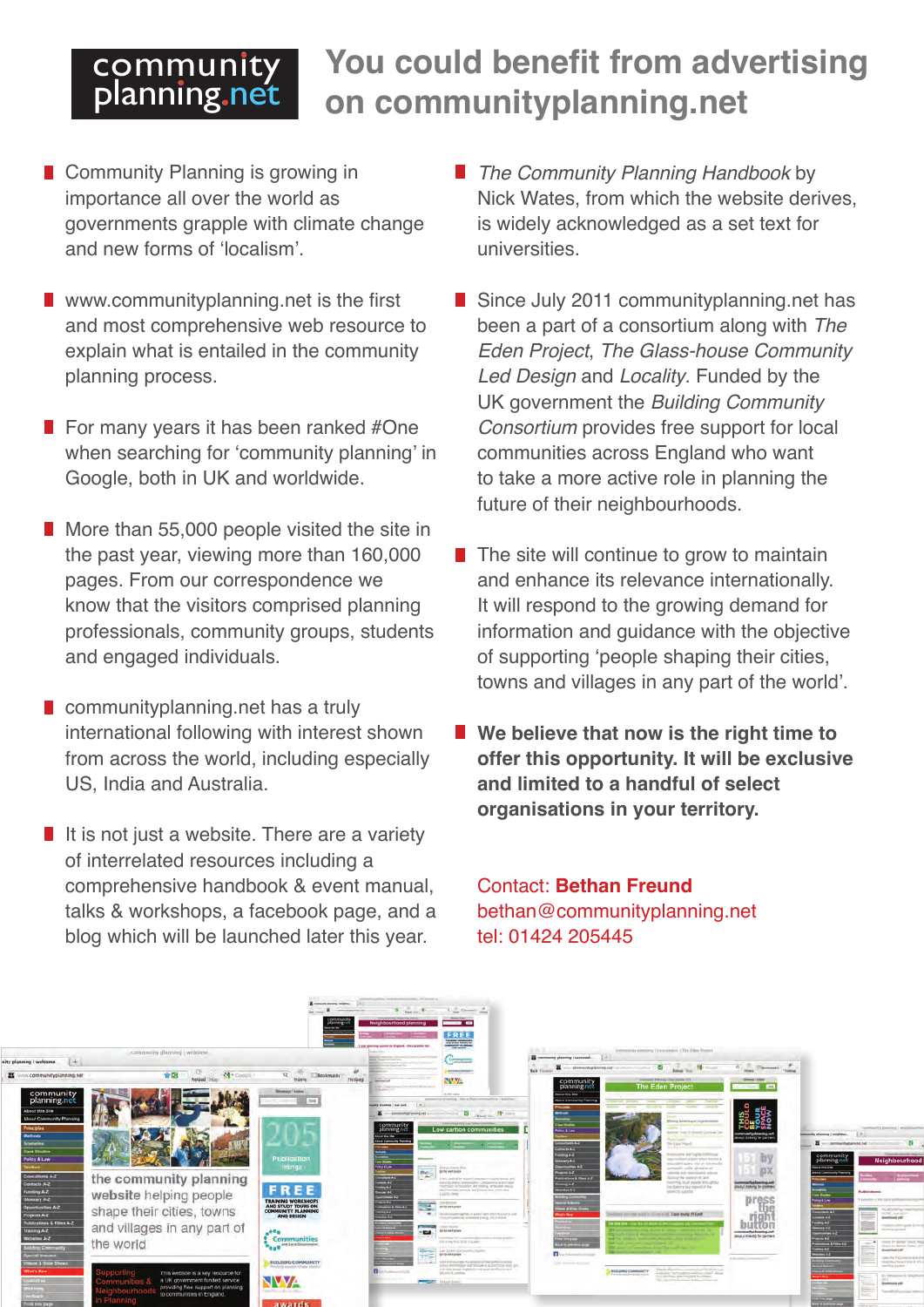## **community** planning.net

## **You could benefit from advertising on communityplanning.net**

- Community Planning is growing in importance all over the world as governments grapple with climate change and new forms of 'localism'.
- **N** www.communityplanning.net is the first and most comprehensive web resource to explain what is entailed in the community planning process.
- $\blacksquare$  For many years it has been ranked #One when searching for 'community planning' in Google, both in UK and worldwide.
- More than 55,000 people visited the site in the past year, viewing more than 160,000 pages. From our correspondence we know that the visitors comprised planning professionals, community groups, students and engaged individuals.
- **Communityplanning.net has a truly** international following with interest shown from across the world, including especially US, India and Australia.
- If it is not just a website. There are a variety of interrelated resources including a comprehensive handbook & event manual, talks & workshops, a facebook page, and a blog which will be launched later this year.
- *The Community Planning Handbook* by Nick Wates, from which the website derives, is widely acknowledged as a set text for universities.
- Since July 2011 communityplanning.net has been a part of a consortium along with *The Eden Project*, *The Glass-house Community Led Design* and *Locality*. Funded by the UK government the *Building Community Consortium* provides free support for local communities across England who want to take a more active role in planning the future of their neighbourhoods.
- $\blacksquare$  The site will continue to grow to maintain and enhance its relevance internationally. It will respond to the growing demand for information and guidance with the objective of supporting 'people shaping their cities, towns and villages in any part of the world'.
- We believe that now is the right time to **offer this opportunity. It will be exclusive and limited to a handful of select organisations in your territory.**

Contact: **Bethan Freund**  bethan@communityplanning.net tel: 01424 205445